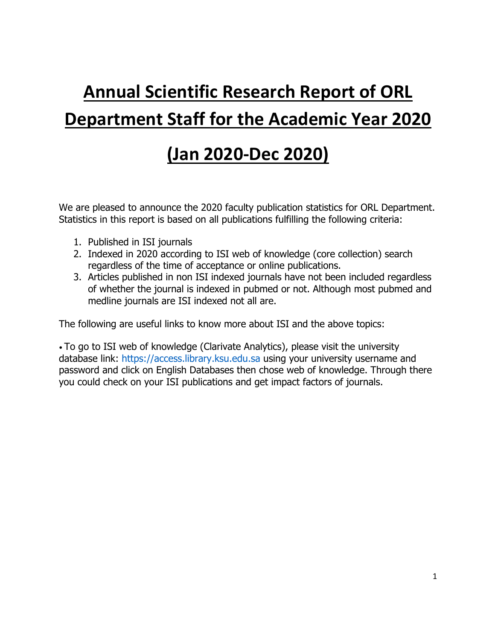# **Annual Scientific Research Report of ORL Department Staff for the Academic Year 2020**

## **(Jan 2020-Dec 2020)**

We are pleased to announce the 2020 faculty publication statistics for ORL Department. Statistics in this report is based on all publications fulfilling the following criteria:

- 1. Published in ISI journals
- 2. Indexed in 2020 according to ISI web of knowledge (core collection) search regardless of the time of acceptance or online publications.
- 3. Articles published in non ISI indexed journals have not been included regardless of whether the journal is indexed in pubmed or not. Although most pubmed and medline journals are ISI indexed not all are.

The following are useful links to know more about ISI and the above topics:

• To go to ISI web of knowledge (Clarivate Analytics), please visit the university database link: https://access.library.ksu.edu.sa using your university username and password and click on English Databases then chose web of knowledge. Through there you could check on your ISI publications and get impact factors of journals.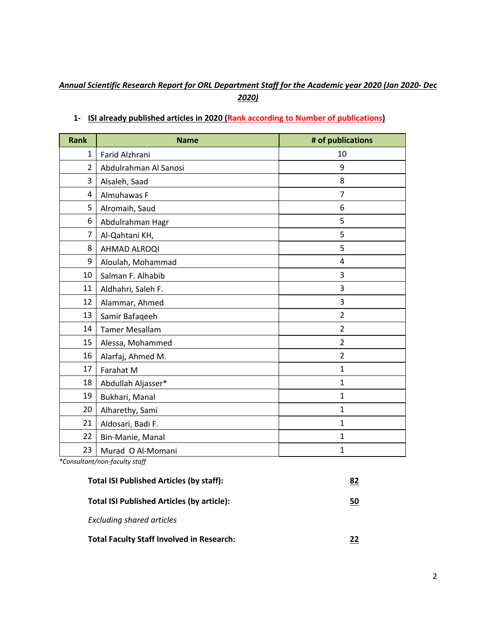#### *Annual Scientific Research Report for ORL Department Staff for the Academic year 2020 (Jan 2020- Dec 2020)*

| <b>Rank</b>    | <b>Name</b>           | # of publications |
|----------------|-----------------------|-------------------|
| 1              | Farid Alzhrani        | 10                |
| $\overline{2}$ | Abdulrahman Al Sanosi | 9                 |
| 3              | Alsaleh, Saad         | 8                 |
| 4              | Almuhawas F           | $\overline{7}$    |
| 5              | Alromaih, Saud        | 6                 |
| 6              | Abdulrahman Hagr      | 5                 |
| 7              | Al-Qahtani KH,        | 5                 |
| 8              | AHMAD ALROQI          | 5                 |
| 9              | Aloulah, Mohammad     | 4                 |
| 10             | Salman F. Alhabib     | 3                 |
| 11             | Aldhahri, Saleh F.    | 3                 |
| 12             | Alammar, Ahmed        | 3                 |
| 13             | Samir Bafaqeeh        | $\overline{2}$    |
| 14             | <b>Tamer Mesallam</b> | $\overline{2}$    |
| 15             | Alessa, Mohammed      | $\overline{2}$    |
| 16             | Alarfaj, Ahmed M.     | $\overline{2}$    |
| 17             | Farahat M             | $\mathbf{1}$      |
| 18             | Abdullah Aljasser*    | $\mathbf{1}$      |
| 19             | Bukhari, Manal        | $\mathbf{1}$      |
| 20             | Alharethy, Sami       | $\mathbf{1}$      |
| 21             | Aldosari, Badi F.     | $\mathbf{1}$      |
| 22             | Bin-Manie, Manal      | $\mathbf{1}$      |
| 23             | Murad O Al-Momani     | $\mathbf{1}$      |

#### **1- ISI already published articles in 2020 (Rank according to Number of publications)**

*\*Consultant/non-faculty staff*

| <b>Total ISI Published Articles (by staff):</b>   | 82 |
|---------------------------------------------------|----|
| <b>Total ISI Published Articles (by article):</b> | 50 |
| <b>Excluding shared articles</b>                  |    |
| <b>Total Faculty Staff Involved in Research:</b>  | 22 |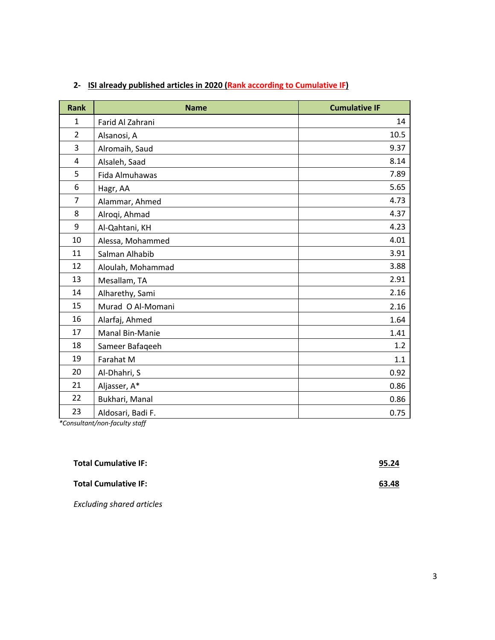| <b>Rank</b>    | <b>Name</b>       | <b>Cumulative IF</b> |
|----------------|-------------------|----------------------|
| $\mathbf{1}$   | Farid Al Zahrani  | 14                   |
| $\overline{2}$ | Alsanosi, A       | 10.5                 |
| 3              | Alromaih, Saud    | 9.37                 |
| 4              | Alsaleh, Saad     | 8.14                 |
| 5              | Fida Almuhawas    | 7.89                 |
| 6              | Hagr, AA          | 5.65                 |
| $\overline{7}$ | Alammar, Ahmed    | 4.73                 |
| 8              | Alroqi, Ahmad     | 4.37                 |
| 9              | Al-Qahtani, KH    | 4.23                 |
| 10             | Alessa, Mohammed  | 4.01                 |
| 11             | Salman Alhabib    | 3.91                 |
| 12             | Aloulah, Mohammad | 3.88                 |
| 13             | Mesallam, TA      | 2.91                 |
| 14             | Alharethy, Sami   | 2.16                 |
| 15             | Murad O Al-Momani | 2.16                 |
| 16             | Alarfaj, Ahmed    | 1.64                 |
| 17             | Manal Bin-Manie   | 1.41                 |
| 18             | Sameer Bafaqeeh   | 1.2                  |
| 19             | Farahat M         | 1.1                  |
| 20             | Al-Dhahri, S      | 0.92                 |
| 21             | Aljasser, A*      | 0.86                 |
| 22             | Bukhari, Manal    | 0.86                 |
| 23             | Aldosari, Badi F. | 0.75                 |

#### **2- ISI already published articles in 2020 (Rank according to Cumulative IF)**

*\*Consultant/non-faculty staff*

| <b>Total Cumulative IF:</b>      | 95.24 |
|----------------------------------|-------|
| <b>Total Cumulative IF:</b>      | 63.48 |
| <b>Excluding shared articles</b> |       |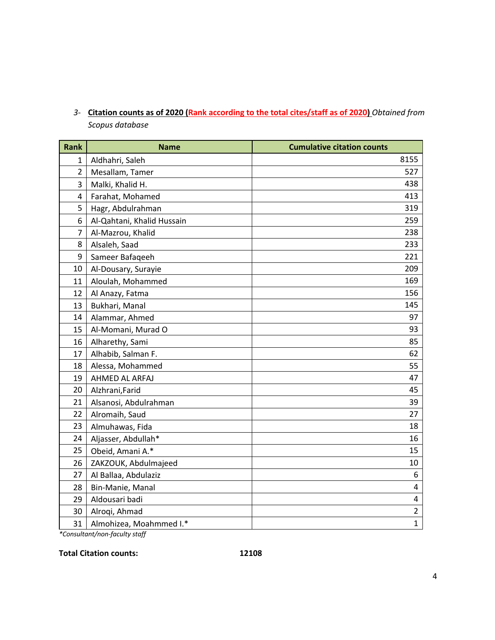| <b>Rank</b>             | <b>Name</b>                | <b>Cumulative citation counts</b> |
|-------------------------|----------------------------|-----------------------------------|
| $\mathbf{1}$            | Aldhahri, Saleh            | 8155                              |
| $\overline{2}$          | Mesallam, Tamer            | 527                               |
| 3                       | Malki, Khalid H.           | 438                               |
| $\overline{\mathbf{4}}$ | Farahat, Mohamed           | 413                               |
| 5                       | Hagr, Abdulrahman          | 319                               |
| 6                       | Al-Qahtani, Khalid Hussain | 259                               |
| $\overline{7}$          | Al-Mazrou, Khalid          | 238                               |
| 8                       | Alsaleh, Saad              | 233                               |
| 9                       | Sameer Bafaqeeh            | 221                               |
| 10                      | Al-Dousary, Surayie        | 209                               |
| 11                      | Aloulah, Mohammed          | 169                               |
| 12                      | Al Anazy, Fatma            | 156                               |
| 13                      | Bukhari, Manal             | 145                               |
| 14                      | Alammar, Ahmed             | 97                                |
| 15                      | Al-Momani, Murad O         | 93                                |
| 16                      | Alharethy, Sami            | 85                                |
| 17                      | Alhabib, Salman F.         | 62                                |
| 18                      | Alessa, Mohammed           | 55                                |
| 19                      | AHMED AL ARFAJ             | 47                                |
| 20                      | Alzhrani, Farid            | 45                                |
| 21                      | Alsanosi, Abdulrahman      | 39                                |
| 22                      | Alromaih, Saud             | 27                                |
| 23                      | Almuhawas, Fida            | 18                                |
| 24                      | Aljasser, Abdullah*        | 16                                |
| 25                      | Obeid, Amani A.*           | 15                                |
| 26                      | ZAKZOUK, Abdulmajeed       | 10                                |
| 27                      | Al Ballaa, Abdulaziz       | 6                                 |
| 28                      | Bin-Manie, Manal           | $\overline{\mathbf{4}}$           |
| 29                      | Aldousari badi             | 4                                 |
| 30                      | Alroqi, Ahmad              | $\overline{2}$                    |
| 31                      | Almohizea, Moahmmed I.*    | $\mathbf{1}$                      |

*3-* **Citation counts as of 2020 (Rank according to the total cites/staff as of 2020)** *Obtained from Scopus database*

*\*Consultant/non-faculty staff*

**Total Citation counts: 12108**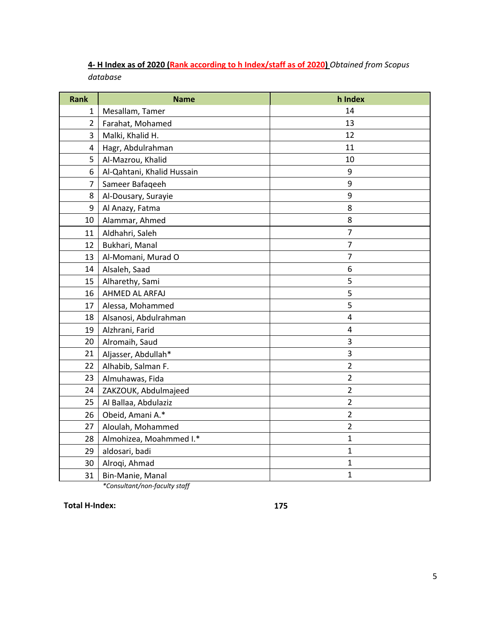| 4- H Index as of 2020 (Rank according to h Index/staff as of 2020) Obtained from Scopus |  |  |  |
|-----------------------------------------------------------------------------------------|--|--|--|
| database                                                                                |  |  |  |

| <b>Rank</b>    | <b>Name</b>                | h Index        |
|----------------|----------------------------|----------------|
| 1              | Mesallam, Tamer            | 14             |
| $\overline{2}$ | Farahat, Mohamed           | 13             |
| 3              | Malki, Khalid H.           | 12             |
| 4              | Hagr, Abdulrahman          | 11             |
| 5              | Al-Mazrou, Khalid          | 10             |
| 6              | Al-Qahtani, Khalid Hussain | 9              |
| $\overline{7}$ | Sameer Bafageeh            | 9              |
| 8              | Al-Dousary, Surayie        | 9              |
| 9              | Al Anazy, Fatma            | 8              |
| 10             | Alammar, Ahmed             | 8              |
| 11             | Aldhahri, Saleh            | $\overline{7}$ |
| 12             | Bukhari, Manal             | $\overline{7}$ |
| 13             | Al-Momani, Murad O         | $\overline{7}$ |
| 14             | Alsaleh, Saad              | 6              |
| 15             | Alharethy, Sami            | 5              |
| 16             | AHMED AL ARFAJ             | 5              |
| 17             | Alessa, Mohammed           | 5              |
| 18             | Alsanosi, Abdulrahman      | 4              |
| 19             | Alzhrani, Farid            | $\pmb{4}$      |
| 20             | Alromaih, Saud             | 3              |
| 21             | Aljasser, Abdullah*        | 3              |
| 22             | Alhabib, Salman F.         | $\overline{2}$ |
| 23             | Almuhawas, Fida            | $\overline{2}$ |
| 24             | ZAKZOUK, Abdulmajeed       | $\overline{2}$ |
| 25             | Al Ballaa, Abdulaziz       | $\overline{2}$ |
| 26             | Obeid, Amani A.*           | $\overline{2}$ |
| 27             | Aloulah, Mohammed          | $\overline{2}$ |
| 28             | Almohizea, Moahmmed I.*    | $\mathbf{1}$   |
| 29             | aldosari, badi             | $\mathbf{1}$   |
| 30             | Alroqi, Ahmad              | $\mathbf 1$    |
| 31             | Bin-Manie, Manal           | $\mathbf{1}$   |

*\*Consultant/non-faculty staff*

**Total H-Index: 175**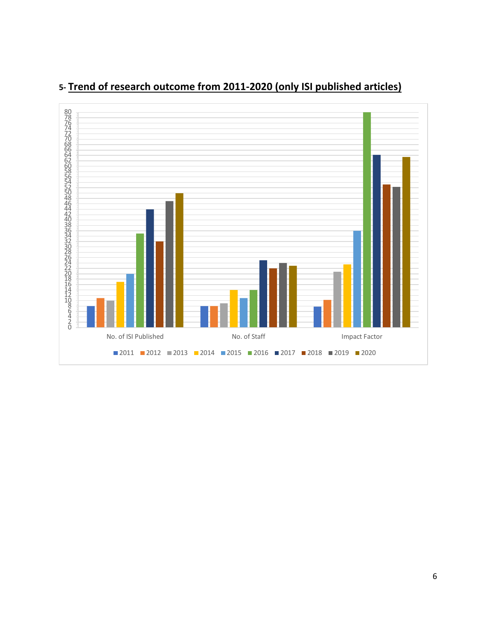

## **5- Trend of research outcome from 2011-2020 (only ISI published articles)**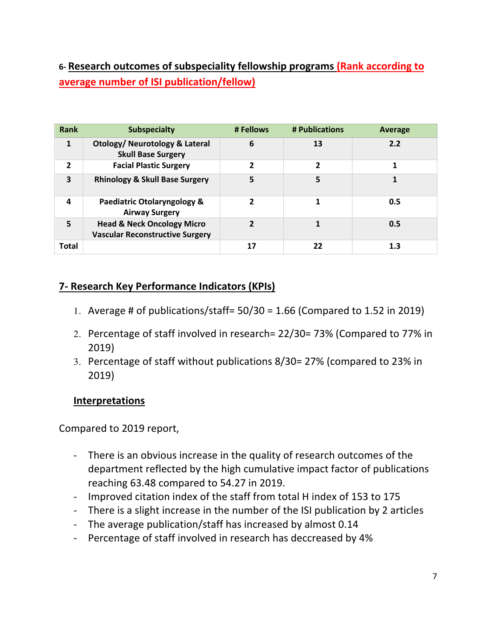## **6- Research outcomes of subspeciality fellowship programs (Rank according to average number of ISI publication/fellow)**

| Rank           | <b>Subspecialty</b>                                                             | # Fellows      | # Publications | Average |
|----------------|---------------------------------------------------------------------------------|----------------|----------------|---------|
| 1              | <b>Otology/ Neurotology &amp; Lateral</b><br><b>Skull Base Surgery</b>          | 6              | 13             | 2.2     |
| $\overline{2}$ | <b>Facial Plastic Surgery</b>                                                   | $\overline{2}$ | 2              |         |
| 3              | <b>Rhinology &amp; Skull Base Surgery</b>                                       | 5              | 5              |         |
| 4              | Paediatric Otolaryngology &<br><b>Airway Surgery</b>                            |                |                | 0.5     |
| 5              | <b>Head &amp; Neck Oncology Micro</b><br><b>Vascular Reconstructive Surgery</b> | $\mathbf{z}$   |                | 0.5     |
| Total          |                                                                                 | 17             | 22             | 1.3     |

## **7- Research Key Performance Indicators (KPIs)**

- 1. Average # of publications/staff=  $50/30 = 1.66$  (Compared to 1.52 in 2019)
- 2. Percentage of staff involved in research= 22/30= 73% (Compared to 77% in 2019)
- 3. Percentage of staff without publications 8/30= 27% (compared to 23% in 2019)

### **Interpretations**

Compared to 2019 report,

- There is an obvious increase in the quality of research outcomes of the department reflected by the high cumulative impact factor of publications reaching 63.48 compared to 54.27 in 2019.
- Improved citation index of the staff from total H index of 153 to 175
- There is a slight increase in the number of the ISI publication by 2 articles
- The average publication/staff has increased by almost 0.14
- Percentage of staff involved in research has deccreased by 4%